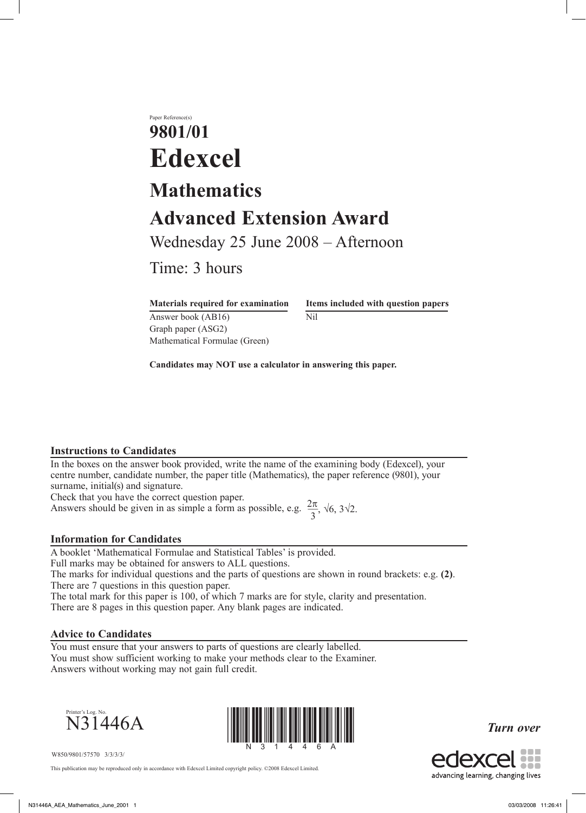# Paper Reference(s) **9801/01 Edexcel Mathematics Advanced Extension Award** Wednesday 25 June 2008 – Afternoon

Time: 3 hours

**Materials required for examination Items included with question papers**

Answer book (AB16) Nil Graph paper (ASG2) Mathematical Formulae (Green)

**Candidates may NOT use a calculator in answering this paper.**

### **Instructions to Candidates**

In the boxes on the answer book provided, write the name of the examining body (Edexcel), your centre number, candidate number, the paper title (Mathematics), the paper reference (9801), your surname, initial(s) and signature.

Check that you have the correct question paper.

Answers should be given in as simple a form as possible, e.g.  $\frac{2\pi}{2}$ , √6, 3√2. 3

## **Information for Candidates**

A booklet 'Mathematical Formulae and Statistical Tables' is provided.

Full marks may be obtained for answers to ALL questions.

The marks for individual questions and the parts of questions are shown in round brackets: e.g. **(2)**. There are 7 questions in this question paper.

The total mark for this paper is 100, of which 7 marks are for style, clarity and presentation. There are 8 pages in this question paper. Any blank pages are indicated.

### **Advice to Candidates**

You must ensure that your answers to parts of questions are clearly labelled. You must show sufficient working to make your methods clear to the Examiner. Answers without working may not gain full credit.





*Turn over*

advancing learning, changing lives

W850/9801/57570 3/3/3/3/

This publication may be reproduced only in accordance with Edexcel Limited copyright policy. ©2008 Edexcel Limited.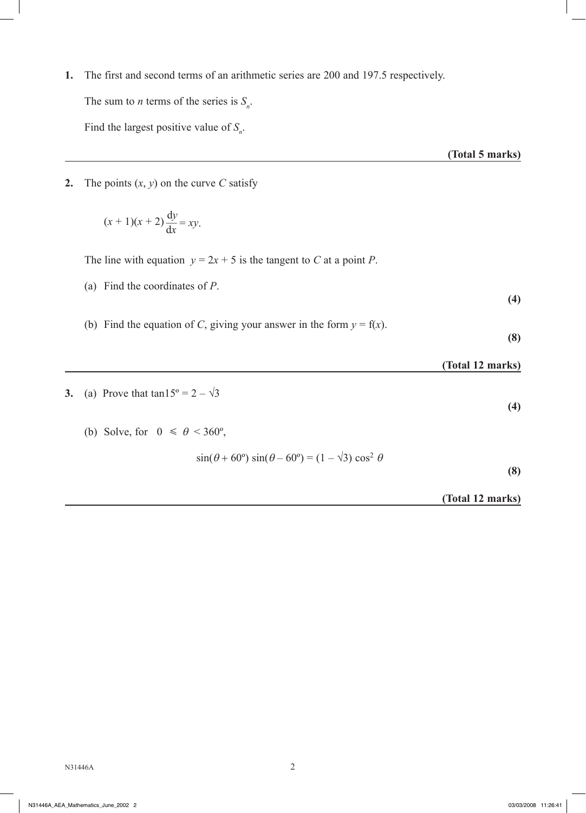**1.** The first and second terms of an arithmetic series are 200 and 197.5 respectively. The sum to *n* terms of the series is  $S_n$ . Find the largest positive value of *Sn* .

**(Total 5 marks)**

**2.** The points  $(x, y)$  on the curve C satisfy

$$
(x+1)(x+2)\frac{\mathrm{d}y}{\mathrm{d}x} = xy.
$$

**3.** (a) Prove that  $\tan 15^{\circ} = 2 - \sqrt{3}$ 

The line with equation  $y = 2x + 5$  is the tangent to *C* at a point *P*.

- (a) Find the coordinates of *P*. **(4)**
- (b) Find the equation of *C*, giving your answer in the form  $y = f(x)$ .
	- **(Total 12 marks)**
- **(4)** (b) Solve, for  $0 \le \theta < 360^{\circ}$ ,

 $sin(\theta + 60^\circ) sin(\theta - 60^\circ) = (1 - \sqrt{3}) cos^2 \theta$ 

**(8)**

**(8)**

**(Total 12 marks)**

N31446A 2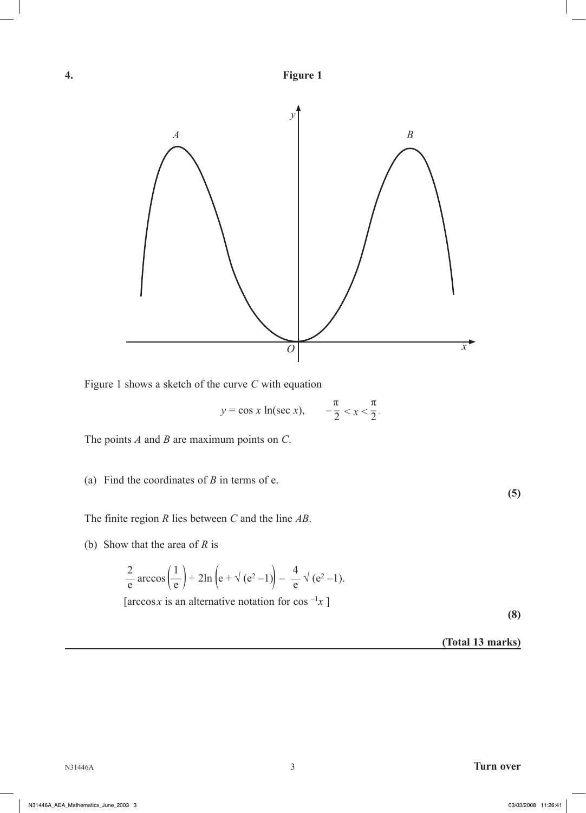



Figure 1 shows a sketch of the curve *C* with equation

$$
y = \cos x \ln(\sec x), \qquad -\frac{\pi}{2} < x < \frac{\pi}{2}.
$$

The points *A* and *B* are maximum points on *C*.

(a) Find the coordinates of *B* in terms of e.

**(5)**

The finite region *R* lies between *C* and the line *AB*.

(b) Show that the area of *R* is

$$
\frac{2}{e} \arccos\left(\frac{1}{e}\right) + 2\ln\left(e + \sqrt{e^2 - 1}\right) - \frac{4}{e} \sqrt{e^2 - 1}.
$$

[arccos *x* is an alternative notation for cos<sup> $-1$ </sup>*x*]

**(8)**

**(Total 13 marks)**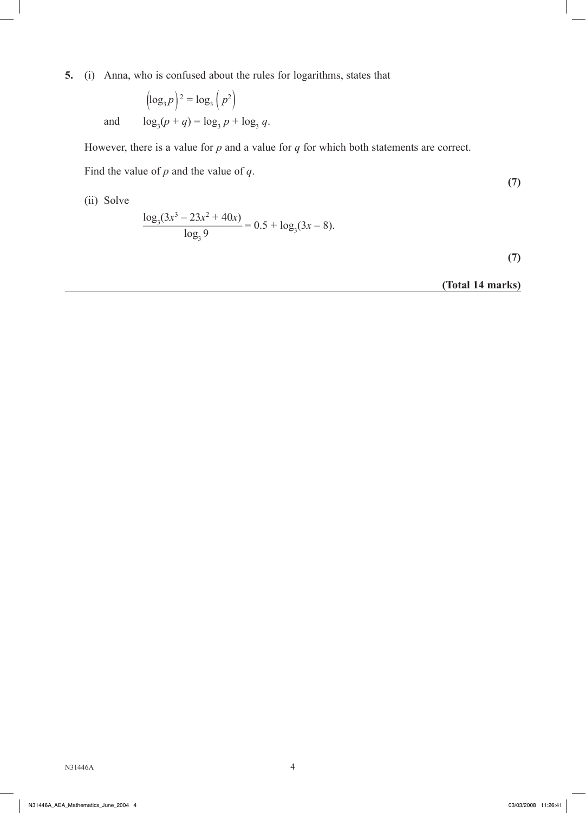**5.** (i) Anna, who is confused about the rules for logarithms, states that

$$
\left(\log_3 p\right)^2 = \log_3 \left(p^2\right)
$$
  
and 
$$
\log_3 (p+q) = \log_3 p + \log_3 q.
$$

However, there is a value for *p* and a value for *q* for which both statements are correct.

Find the value of *p* and the value of *q*.  $(7)$ 

(ii) Solve

$$
\left( \mathbf{0}\right)
$$

$$
\frac{\log_3(3x^3 - 23x^2 + 40x)}{\log_3 9} = 0.5 + \log_3(3x - 8).
$$

**(7)**

**(Total 14 marks)**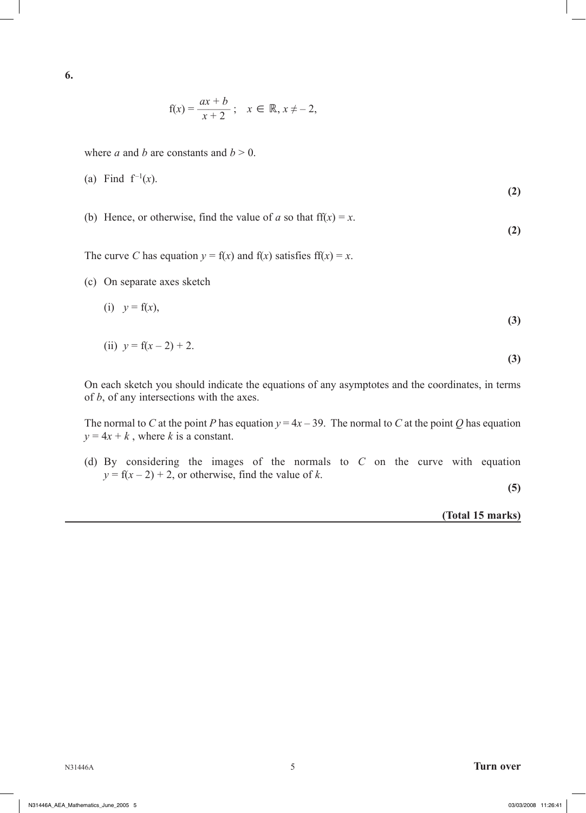**6.**

$$
f(x) = \frac{ax+b}{x+2}; \quad x \in \mathbb{R}, x \neq -2,
$$

where *a* and *b* are constants and  $b > 0$ .

(a) Find 
$$
f^{-1}(x)
$$
.

**(2)**

**(2)**

(b) Hence, or otherwise, find the value of *a* so that  $ff(x) = x$ .

The curve *C* has equation  $y = f(x)$  and  $f(x)$  satisfies  $f(x) = x$ .

(c) On separate axes sketch

$$
(i) \quad y = f(x), \tag{3}
$$

(ii) 
$$
y = f(x-2) + 2.
$$
 (3)

On each sketch you should indicate the equations of any asymptotes and the coordinates, in terms of *b*, of any intersections with the axes.

The normal to *C* at the point *P* has equation  $y = 4x - 39$ . The normal to *C* at the point *Q* has equation  $y = 4x + k$ , where *k* is a constant.

(d) By considering the images of the normals to *C* on the curve with equation  $y = f(x - 2) + 2$ , or otherwise, find the value of *k*.

**(5)**

**(Total 15 marks)**

N31446A 5 **Turn over**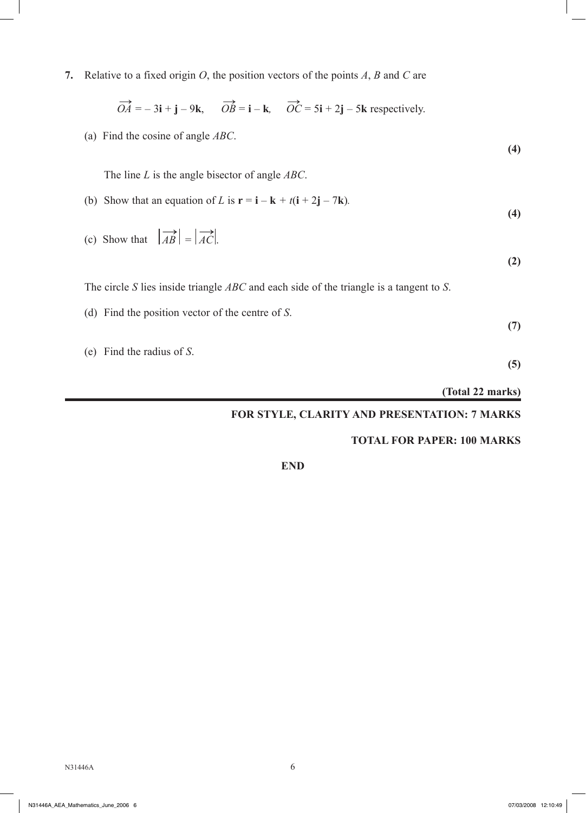**7.**  Relative to a fixed origin *O*, the position vectors of the points *A*, *B* and *C* are

$$
\overrightarrow{OA} = -3\mathbf{i} + \mathbf{j} - 9\mathbf{k}, \qquad \overrightarrow{OB} = \mathbf{i} - \mathbf{k}, \qquad \overrightarrow{OC} = 5\mathbf{i} + 2\mathbf{j} - 5\mathbf{k}
$$
 respectively.

 (a) Find the cosine of angle *ABC*.

 The line *L* is the angle bisector of angle *ABC*.

- (b) Show that an equation of *L* is  $\mathbf{r} = \mathbf{i} \mathbf{k} + t(\mathbf{i} + 2\mathbf{j} 7\mathbf{k})$ .
- (c) Show that  $\left| \frac{\longrightarrow}{AB} \right| = \left| \frac{\longrightarrow}{AC} \right|$ . **(2)**

 The circle *S* lies inside triangle *ABC* and each side of the triangle is a tangent to *S*.

- (d) Find the position vector of the centre of *S*.
- (e) Find the radius of *S*.

**(Total 22 marks)**

## **For Style, Clarity and Presentation: 7 marks**

#### **TOTAL FOR PAPER: 100 MARKS**

**END**

**(4)**

**(4)**

**(7)**

**(5)**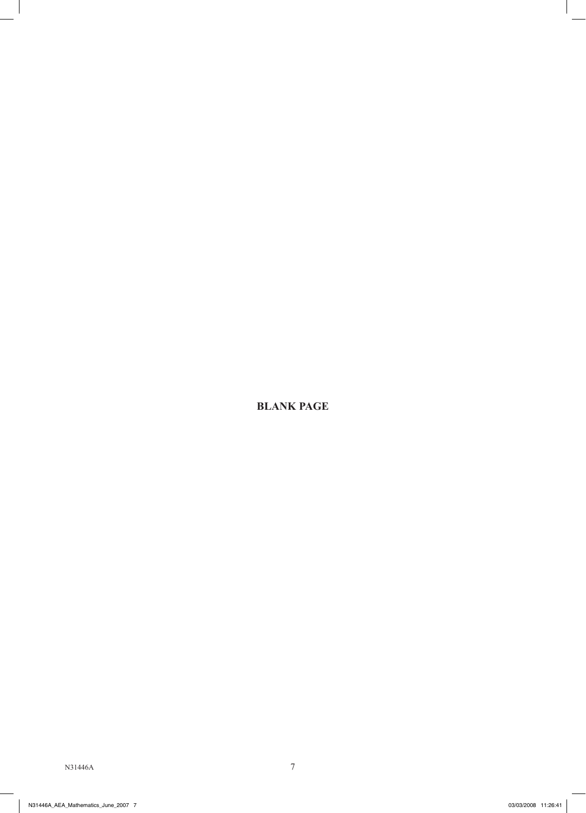**BLANK PAGE**